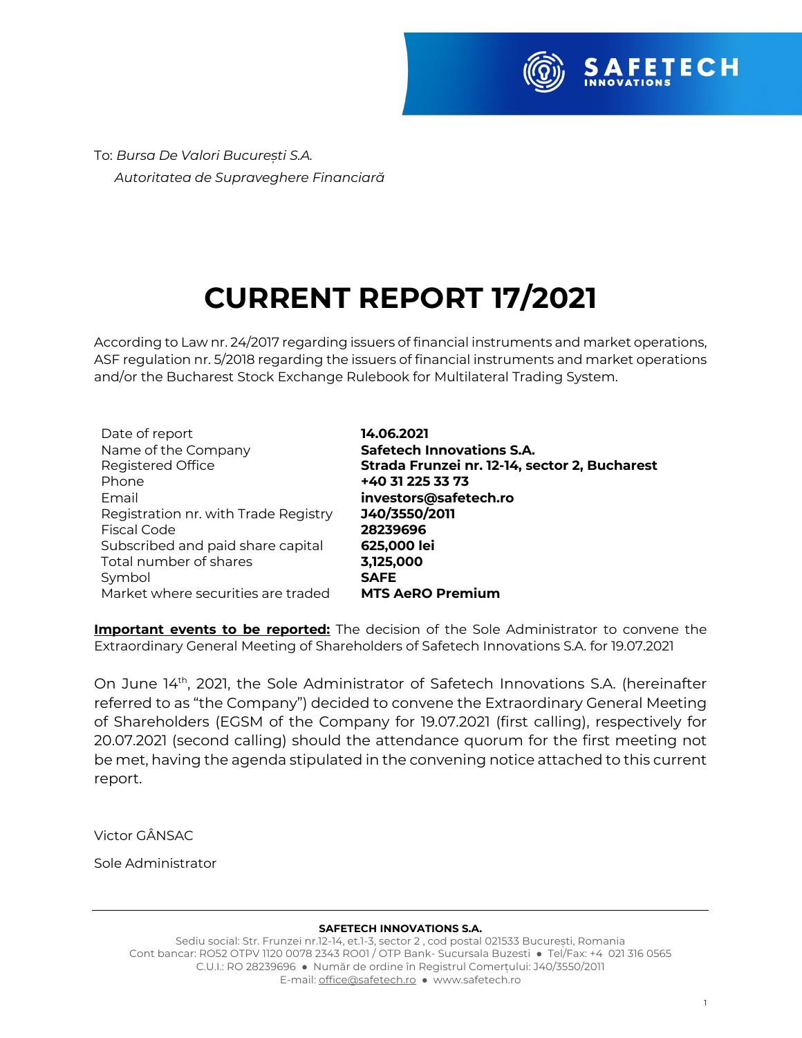

To: *Bursa De Valori București S.A. Autoritatea de Supraveghere Financiară*

# **CURRENT REPORT 17/2021**

According to Law nr. 24/2017 regarding issuers of financial instruments and market operations, ASF regulation nr. 5/2018 regarding the issuers of financial instruments and market operations and/or the Bucharest Stock Exchange Rulebook for Multilateral Trading System.

| Date of report                       | 14.06.2021                                    |
|--------------------------------------|-----------------------------------------------|
| Name of the Company                  | <b>Safetech Innovations S.A.</b>              |
| Registered Office                    | Strada Frunzei nr. 12-14, sector 2, Bucharest |
| Phone                                | +40 31 225 33 73                              |
| Email                                | investors@safetech.ro                         |
| Registration nr. with Trade Registry | J40/3550/2011                                 |
| Fiscal Code                          | 28239696                                      |
| Subscribed and paid share capital    | 625,000 lei                                   |
| Total number of shares               | 3,125,000                                     |
| Symbol                               | <b>SAFE</b>                                   |
| Market where securities are traded   | <b>MTS AeRO Premium</b>                       |

**Important events to be reported:** The decision of the Sole Administrator to convene the Extraordinary General Meeting of Shareholders of Safetech Innovations S.A. for 19.07.2021

On June 14<sup>th</sup>, 2021, the Sole Administrator of Safetech Innovations S.A. (hereinafter referred to as "the Company") decided to convene the Extraordinary General Meeting of Shareholders (EGSM of the Company for 19.07.2021 (first calling), respectively for 20.07.2021 (second calling) should the attendance quorum for the first meeting not be met, having the agenda stipulated in the convening notice attached to this current report.

Victor GÂNSAC

Sole Administrator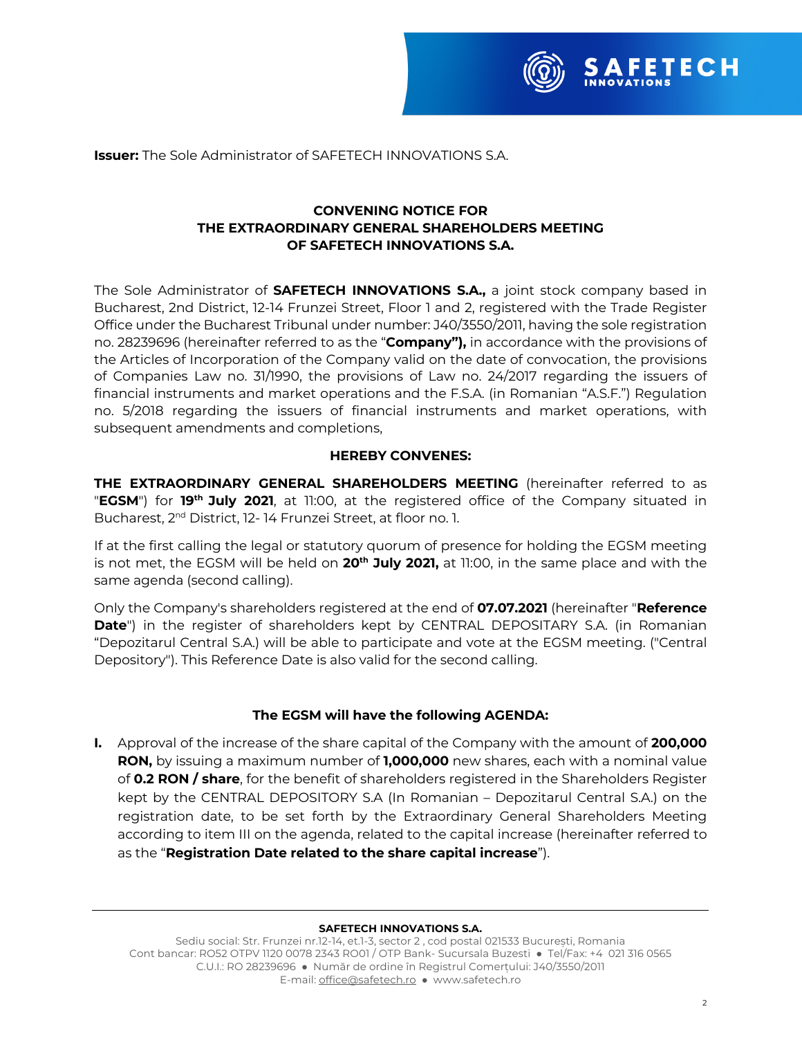

**Issuer:** The Sole Administrator of SAFETECH INNOVATIONS S.A.

# **CONVENING NOTICE FOR THE EXTRAORDINARY GENERAL SHAREHOLDERS MEETING OF SAFETECH INNOVATIONS S.A.**

The Sole Administrator of **SAFETECH INNOVATIONS S.A.,** a joint stock company based in Bucharest, 2nd District, 12-14 Frunzei Street, Floor 1 and 2, registered with the Trade Register Office under the Bucharest Tribunal under number: J40/3550/2011, having the sole registration no. 28239696 (hereinafter referred to as the "**Company"),** in accordance with the provisions of the Articles of Incorporation of the Company valid on the date of convocation, the provisions of Companies Law no. 31/1990, the provisions of Law no. 24/2017 regarding the issuers of financial instruments and market operations and the F.S.A. (in Romanian "A.S.F.") Regulation no. 5/2018 regarding the issuers of financial instruments and market operations, with subsequent amendments and completions,

# **HEREBY CONVENES:**

**THE EXTRAORDINARY GENERAL SHAREHOLDERS MEETING** (hereinafter referred to as "**EGSM**") for **19th July 2021**, at 11:00, at the registered office of the Company situated in Bucharest, 2<sup>nd</sup> District, 12-14 Frunzei Street, at floor no. 1.

If at the first calling the legal or statutory quorum of presence for holding the EGSM meeting is not met, the EGSM will be held on **20th July 2021,** at 11:00, in the same place and with the same agenda (second calling).

Only the Company's shareholders registered at the end of **07.07.2021** (hereinafter "**Reference Date**") in the register of shareholders kept by CENTRAL DEPOSITARY S.A. (in Romanian "Depozitarul Central S.A.) will be able to participate and vote at the EGSM meeting. ("Central Depository"). This Reference Date is also valid for the second calling.

# **The EGSM will have the following AGENDA:**

**I.** Approval of the increase of the share capital of the Company with the amount of **200,000 RON,** by issuing a maximum number of **1,000,000** new shares, each with a nominal value of **0.2 RON / share**, for the benefit of shareholders registered in the Shareholders Register kept by the CENTRAL DEPOSITORY S.A (In Romanian – Depozitarul Central S.A.) on the registration date, to be set forth by the Extraordinary General Shareholders Meeting according to item III on the agenda, related to the capital increase (hereinafter referred to as the "**Registration Date related to the share capital increase**").

### **SAFETECH INNOVATIONS S.A.**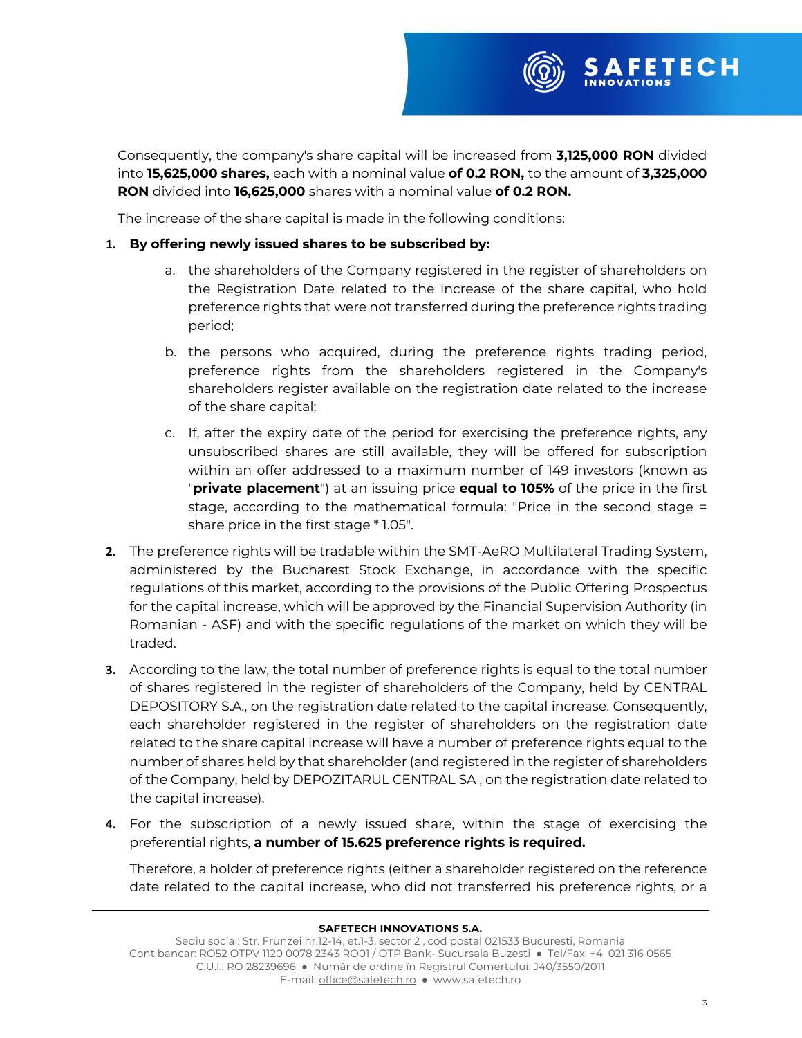

Consequently, the company's share capital will be increased from **3,125,000 RON** divided into **15,625,000 shares,** each with a nominal value **of 0.2 RON,** to the amount of **3,325,000 RON** divided into **16,625,000** shares with a nominal value **of 0.2 RON.**

The increase of the share capital is made in the following conditions:

# **1. By offering newly issued shares to be subscribed by:**

- a. the shareholders of the Company registered in the register of shareholders on the Registration Date related to the increase of the share capital, who hold preference rights that were not transferred during the preference rights trading period;
- b. the persons who acquired, during the preference rights trading period, preference rights from the shareholders registered in the Company's shareholders register available on the registration date related to the increase of the share capital;
- c. If, after the expiry date of the period for exercising the preference rights, any unsubscribed shares are still available, they will be offered for subscription within an offer addressed to a maximum number of 149 investors (known as "**private placement**") at an issuing price **equal to 105%** of the price in the first stage, according to the mathematical formula: "Price in the second stage = share price in the first stage \* 1.05".
- **2.** The preference rights will be tradable within the SMT-AeRO Multilateral Trading System, administered by the Bucharest Stock Exchange, in accordance with the specific regulations of this market, according to the provisions of the Public Offering Prospectus for the capital increase, which will be approved by the Financial Supervision Authority (in Romanian - ASF) and with the specific regulations of the market on which they will be traded.
- **3.** According to the law, the total number of preference rights is equal to the total number of shares registered in the register of shareholders of the Company, held by CENTRAL DEPOSITORY S.A., on the registration date related to the capital increase. Consequently, each shareholder registered in the register of shareholders on the registration date related to the share capital increase will have a number of preference rights equal to the number of shares held by that shareholder (and registered in the register of shareholders of the Company, held by DEPOZITARUL CENTRAL SA , on the registration date related to the capital increase).
- **4.** For the subscription of a newly issued share, within the stage of exercising the preferential rights, **a number of 15.625 preference rights is required.**

Therefore, a holder of preference rights (either a shareholder registered on the reference date related to the capital increase, who did not transferred his preference rights, or a

### **SAFETECH INNOVATIONS S.A.**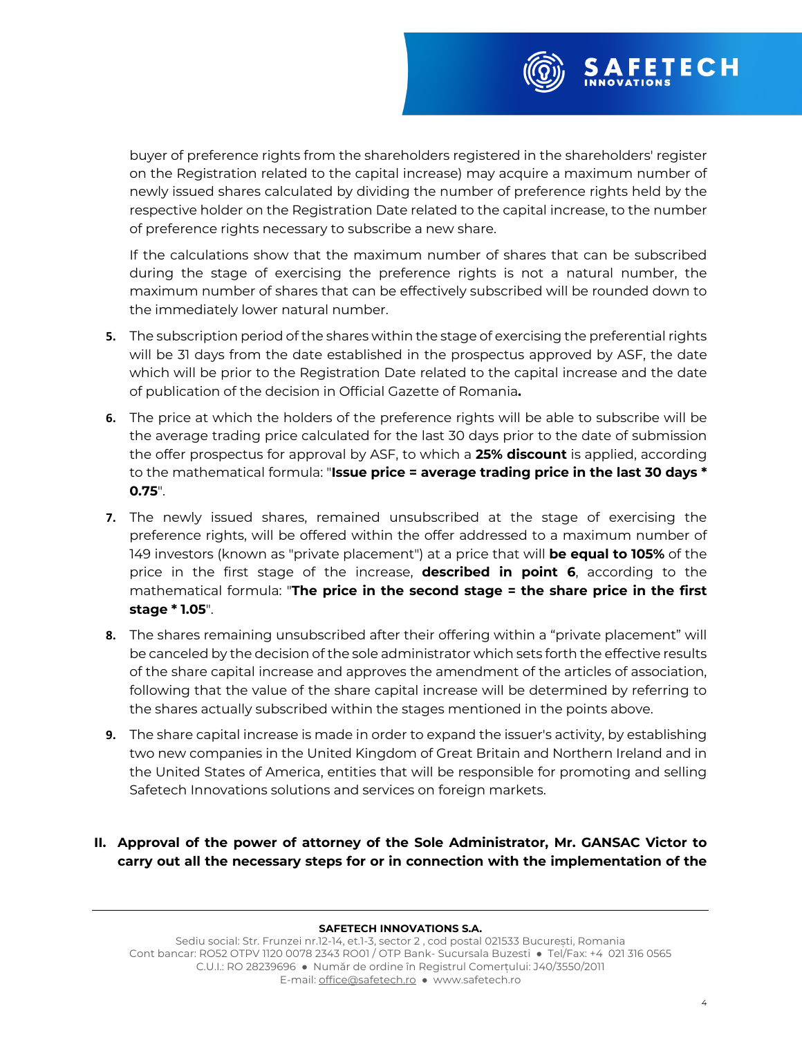

buyer of preference rights from the shareholders registered in the shareholders' register on the Registration related to the capital increase) may acquire a maximum number of newly issued shares calculated by dividing the number of preference rights held by the respective holder on the Registration Date related to the capital increase, to the number of preference rights necessary to subscribe a new share.

If the calculations show that the maximum number of shares that can be subscribed during the stage of exercising the preference rights is not a natural number, the maximum number of shares that can be effectively subscribed will be rounded down to the immediately lower natural number.

- **5.** The subscription period of the shares within the stage of exercising the preferential rights will be 31 days from the date established in the prospectus approved by ASF, the date which will be prior to the Registration Date related to the capital increase and the date of publication of the decision in Official Gazette of Romania**.**
- **6.** The price at which the holders of the preference rights will be able to subscribe will be the average trading price calculated for the last 30 days prior to the date of submission the offer prospectus for approval by ASF, to which a **25% discount** is applied, according to the mathematical formula: "**Issue price = average trading price in the last 30 days \* 0.75**".
- **7.** The newly issued shares, remained unsubscribed at the stage of exercising the preference rights, will be offered within the offer addressed to a maximum number of 149 investors (known as "private placement") at a price that will **be equal to 105%** of the price in the first stage of the increase, **described in point 6**, according to the mathematical formula: "**The price in the second stage = the share price in the first stage \* 1.05**".
- **8.** The shares remaining unsubscribed after their offering within a "private placement" will be canceled by the decision of the sole administrator which sets forth the effective results of the share capital increase and approves the amendment of the articles of association, following that the value of the share capital increase will be determined by referring to the shares actually subscribed within the stages mentioned in the points above.
- **9.** The share capital increase is made in order to expand the issuer's activity, by establishing two new companies in the United Kingdom of Great Britain and Northern Ireland and in the United States of America, entities that will be responsible for promoting and selling Safetech Innovations solutions and services on foreign markets.
- **II. Approval of the power of attorney of the Sole Administrator, Mr. GANSAC Victor to carry out all the necessary steps for or in connection with the implementation of the**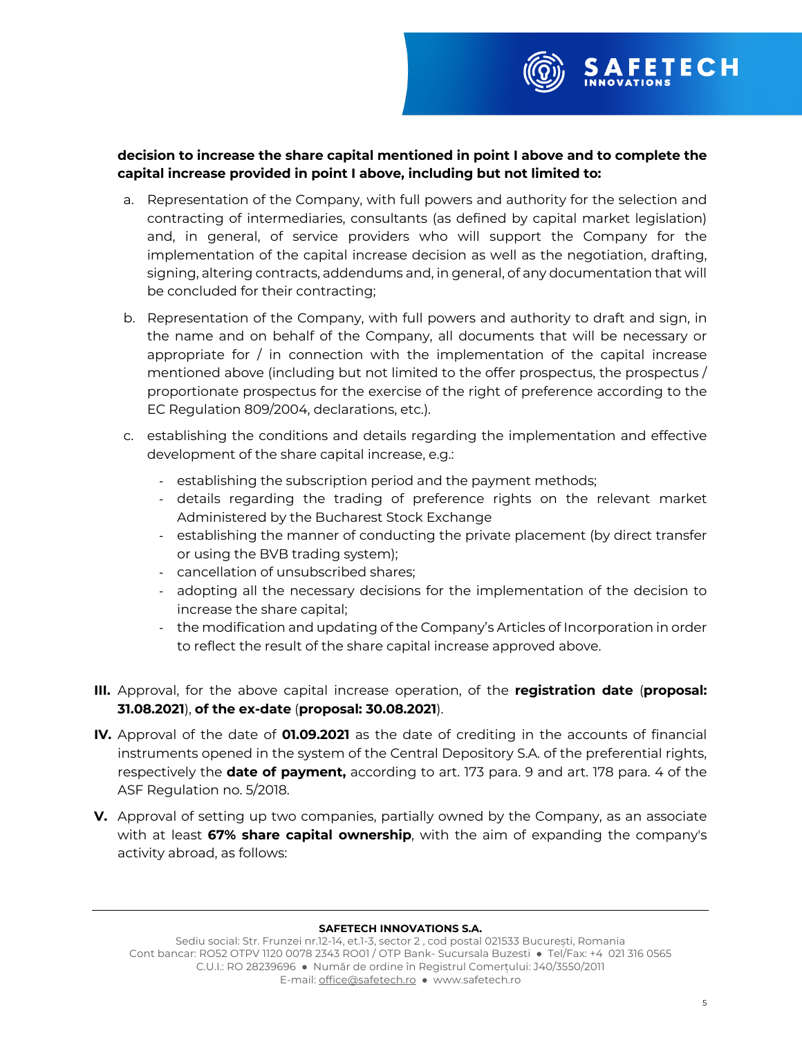

- a. Representation of the Company, with full powers and authority for the selection and contracting of intermediaries, consultants (as defined by capital market legislation) and, in general, of service providers who will support the Company for the implementation of the capital increase decision as well as the negotiation, drafting, signing, altering contracts, addendums and, in general, of any documentation that will be concluded for their contracting;
- b. Representation of the Company, with full powers and authority to draft and sign, in the name and on behalf of the Company, all documents that will be necessary or appropriate for / in connection with the implementation of the capital increase mentioned above (including but not limited to the offer prospectus, the prospectus / proportionate prospectus for the exercise of the right of preference according to the EC Regulation 809/2004, declarations, etc.).
- c. establishing the conditions and details regarding the implementation and effective development of the share capital increase, e.g.:
	- establishing the subscription period and the payment methods;
	- details regarding the trading of preference rights on the relevant market Administered by the Bucharest Stock Exchange
	- establishing the manner of conducting the private placement (by direct transfer or using the BVB trading system);
	- cancellation of unsubscribed shares;
	- adopting all the necessary decisions for the implementation of the decision to increase the share capital;
	- the modification and updating of the Company's Articles of Incorporation in order to reflect the result of the share capital increase approved above.
- **III.** Approval, for the above capital increase operation, of the **registration date** (**proposal: 31.08.2021**), **of the ex-date** (**proposal: 30.08.2021**).
- **IV.** Approval of the date of **01.09.2021** as the date of crediting in the accounts of financial instruments opened in the system of the Central Depository S.A. of the preferential rights, respectively the **date of payment,** according to art. 173 para. 9 and art. 178 para. 4 of the ASF Regulation no. 5/2018.
- **V.** Approval of setting up two companies, partially owned by the Company, as an associate with at least **67% share capital ownership**, with the aim of expanding the company's activity abroad, as follows:

### **SAFETECH INNOVATIONS S.A.**

**FETECH**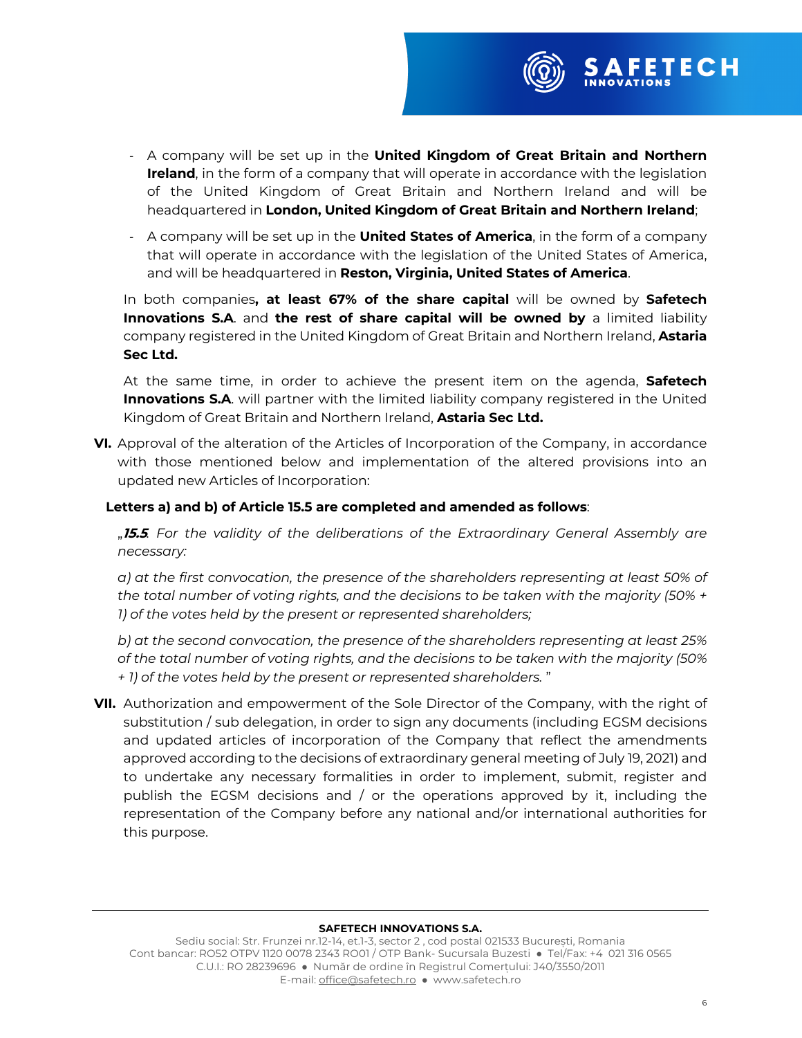

- A company will be set up in the **United Kingdom of Great Britain and Northern Ireland**, in the form of a company that will operate in accordance with the legislation of the United Kingdom of Great Britain and Northern Ireland and will be headquartered in **London, United Kingdom of Great Britain and Northern Ireland**;
- A company will be set up in the **United States of America**, in the form of a company that will operate in accordance with the legislation of the United States of America, and will be headquartered in **Reston, Virginia, United States of America**.

In both companies**, at least 67% of the share capital** will be owned by **Safetech Innovations S.A**. and **the rest of share capital will be owned by** a limited liability company registered in the United Kingdom of Great Britain and Northern Ireland, **Astaria Sec Ltd.**

At the same time, in order to achieve the present item on the agenda, **Safetech Innovations S.A**. will partner with the limited liability company registered in the United Kingdom of Great Britain and Northern Ireland, **Astaria Sec Ltd.**

**VI.** Approval of the alteration of the Articles of Incorporation of the Company, in accordance with those mentioned below and implementation of the altered provisions into an updated new Articles of Incorporation:

# **Letters a) and b) of Article 15.5 are completed and amended as follows**:

"**15.5***. For the validity of the deliberations of the Extraordinary General Assembly are necessary:*

*a) at the first convocation, the presence of the shareholders representing at least 50% of the total number of voting rights, and the decisions to be taken with the majority (50% + 1) of the votes held by the present or represented shareholders;*

*b) at the second convocation, the presence of the shareholders representing at least 25% of the total number of voting rights, and the decisions to be taken with the majority (50% + 1) of the votes held by the present or represented shareholders.* "

**VII.** Authorization and empowerment of the Sole Director of the Company, with the right of substitution / sub delegation, in order to sign any documents (including EGSM decisions and updated articles of incorporation of the Company that reflect the amendments approved according to the decisions of extraordinary general meeting of July 19, 2021) and to undertake any necessary formalities in order to implement, submit, register and publish the EGSM decisions and / or the operations approved by it, including the representation of the Company before any national and/or international authorities for this purpose.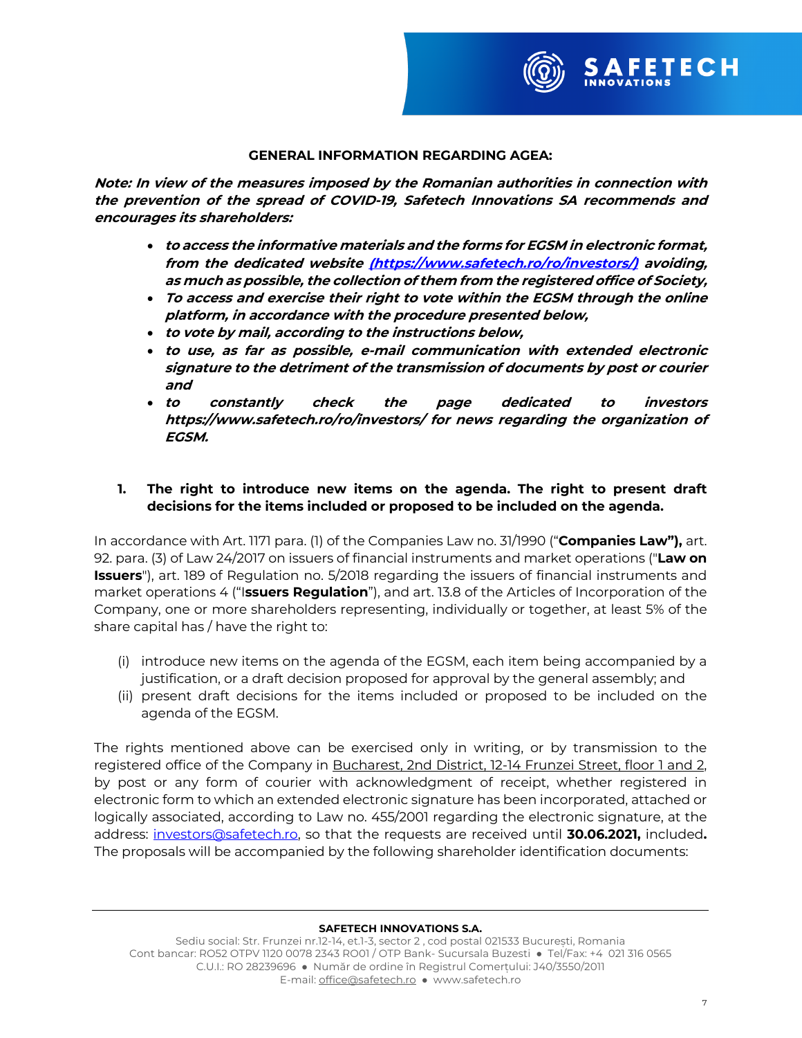

## **GENERAL INFORMATION REGARDING AGEA:**

**Note: In view of the measures imposed by the Romanian authorities in connection with the prevention of the spread of COVID-19, Safetech Innovations SA recommends and encourages its shareholders:** 

- **to access the informative materials and the forms for EGSM in electronic format, from the dedicated website (https://www.safetech.ro/ro/investors/) avoiding, as much as possible, the collection of them from the registered office of Society,**
- **To access and exercise their right to vote within the EGSM through the online platform, in accordance with the procedure presented below,**
- **to vote by mail, according to the instructions below,**
- **to use, as far as possible, e-mail communication with extended electronic signature to the detriment of the transmission of documents by post or courier and**
- **to constantly check the page dedicated to investors https://www.safetech.ro/ro/investors/ for news regarding the organization of EGSM.**

# **1. The right to introduce new items on the agenda. The right to present draft decisions for the items included or proposed to be included on the agenda.**

In accordance with Art. 1171 para. (1) of the Companies Law no. 31/1990 ("**Companies Law"),** art. 92. para. (3) of Law 24/2017 on issuers of financial instruments and market operations ("**Law on Issuers**"), art. 189 of Regulation no. 5/2018 regarding the issuers of financial instruments and market operations 4 ("I**ssuers Regulation**"), and art. 13.8 of the Articles of Incorporation of the Company, one or more shareholders representing, individually or together, at least 5% of the share capital has / have the right to:

- (i) introduce new items on the agenda of the EGSM, each item being accompanied by a justification, or a draft decision proposed for approval by the general assembly; and
- (ii) present draft decisions for the items included or proposed to be included on the agenda of the EGSM.

The rights mentioned above can be exercised only in writing, or by transmission to the registered office of the Company in Bucharest, 2nd District, 12-14 Frunzei Street, floor 1 and 2, by post or any form of courier with acknowledgment of receipt, whether registered in electronic form to which an extended electronic signature has been incorporated, attached or logically associated, according to Law no. 455/2001 regarding the electronic signature, at the address: investors@safetech.ro, so that the requests are received until **30.06.2021,** included**.** The proposals will be accompanied by the following shareholder identification documents: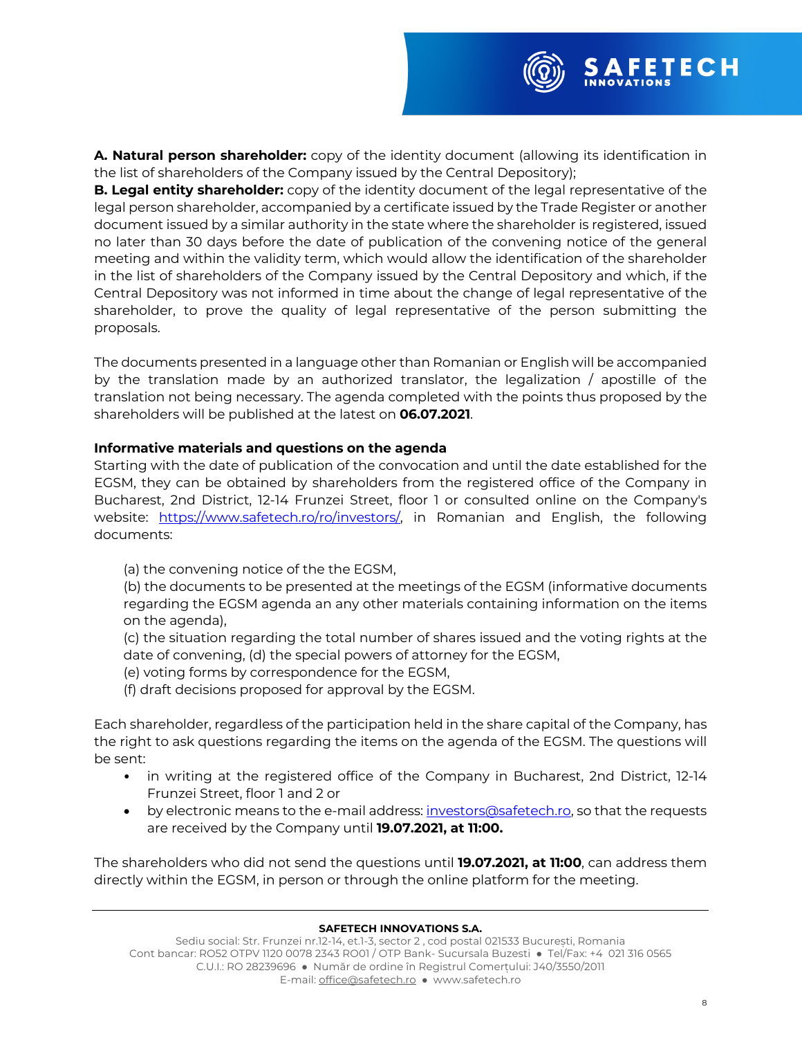

**A. Natural person shareholder:** copy of the identity document (allowing its identification in the list of shareholders of the Company issued by the Central Depository);

**B. Legal entity shareholder:** copy of the identity document of the legal representative of the legal person shareholder, accompanied by a certificate issued by the Trade Register or another document issued by a similar authority in the state where the shareholder is registered, issued no later than 30 days before the date of publication of the convening notice of the general meeting and within the validity term, which would allow the identification of the shareholder in the list of shareholders of the Company issued by the Central Depository and which, if the Central Depository was not informed in time about the change of legal representative of the shareholder, to prove the quality of legal representative of the person submitting the proposals.

The documents presented in a language other than Romanian or English will be accompanied by the translation made by an authorized translator, the legalization / apostille of the translation not being necessary. The agenda completed with the points thus proposed by the shareholders will be published at the latest on **06.07.2021**.

## **Informative materials and questions on the agenda**

Starting with the date of publication of the convocation and until the date established for the EGSM, they can be obtained by shareholders from the registered office of the Company in Bucharest, 2nd District, 12-14 Frunzei Street, floor 1 or consulted online on the Company's website: https://www.safetech.ro/ro/investors/, in Romanian and English, the following documents:

(a) the convening notice of the the EGSM,

(b) the documents to be presented at the meetings of the EGSM (informative documents regarding the EGSM agenda an any other materials containing information on the items on the agenda),

(c) the situation regarding the total number of shares issued and the voting rights at the date of convening, (d) the special powers of attorney for the EGSM,

(e) voting forms by correspondence for the EGSM,

(f) draft decisions proposed for approval by the EGSM.

Each shareholder, regardless of the participation held in the share capital of the Company, has the right to ask questions regarding the items on the agenda of the EGSM. The questions will be sent:

- in writing at the registered office of the Company in Bucharest, 2nd District, 12-14 Frunzei Street, floor 1 and 2 or
- by electronic means to the e-mail address: investors@safetech.ro, so that the requests are received by the Company until **19.07.2021, at 11:00.**

The shareholders who did not send the questions until **19.07.2021, at 11:00**, can address them directly within the EGSM, in person or through the online platform for the meeting.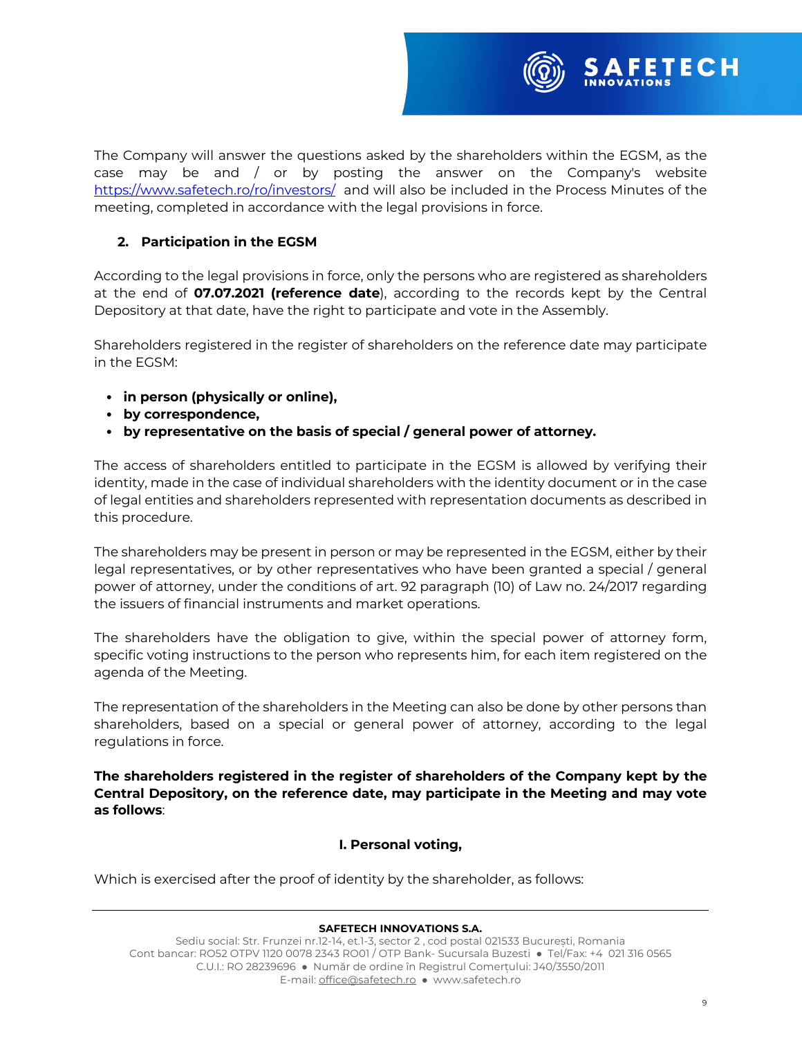

# **2. Participation in the EGSM**

According to the legal provisions in force, only the persons who are registered as shareholders at the end of **07.07.2021 (reference date**), according to the records kept by the Central Depository at that date, have the right to participate and vote in the Assembly.

Shareholders registered in the register of shareholders on the reference date may participate in the EGSM:

- **in person (physically or online),**
- **by correspondence,**
- **by representative on the basis of special / general power of attorney.**

The access of shareholders entitled to participate in the EGSM is allowed by verifying their identity, made in the case of individual shareholders with the identity document or in the case of legal entities and shareholders represented with representation documents as described in this procedure.

The shareholders may be present in person or may be represented in the EGSM, either by their legal representatives, or by other representatives who have been granted a special / general power of attorney, under the conditions of art. 92 paragraph (10) of Law no. 24/2017 regarding the issuers of financial instruments and market operations.

The shareholders have the obligation to give, within the special power of attorney form, specific voting instructions to the person who represents him, for each item registered on the agenda of the Meeting.

The representation of the shareholders in the Meeting can also be done by other persons than shareholders, based on a special or general power of attorney, according to the legal regulations in force.

**The shareholders registered in the register of shareholders of the Company kept by the Central Depository, on the reference date, may participate in the Meeting and may vote as follows**:

## **I. Personal voting,**

Which is exercised after the proof of identity by the shareholder, as follows: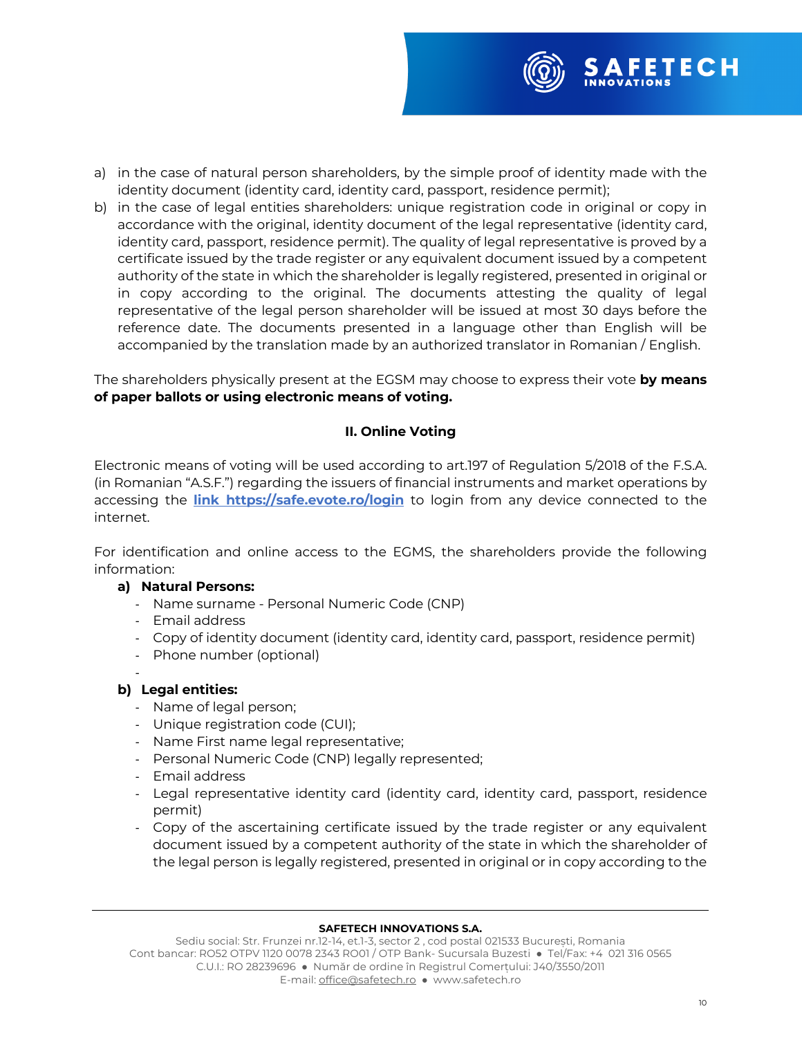

- a) in the case of natural person shareholders, by the simple proof of identity made with the identity document (identity card, identity card, passport, residence permit);
- b) in the case of legal entities shareholders: unique registration code in original or copy in accordance with the original, identity document of the legal representative (identity card, identity card, passport, residence permit). The quality of legal representative is proved by a certificate issued by the trade register or any equivalent document issued by a competent authority of the state in which the shareholder is legally registered, presented in original or in copy according to the original. The documents attesting the quality of legal representative of the legal person shareholder will be issued at most 30 days before the reference date. The documents presented in a language other than English will be accompanied by the translation made by an authorized translator in Romanian / English.

The shareholders physically present at the EGSM may choose to express their vote **by means of paper ballots or using electronic means of voting.** 

# **II. Online Voting**

Electronic means of voting will be used according to art.197 of Regulation 5/2018 of the F.S.A. (in Romanian "A.S.F.") regarding the issuers of financial instruments and market operations by accessing the **link https://safe.evote.ro/login** to login from any device connected to the internet.

For identification and online access to the EGMS, the shareholders provide the following information:

## **a) Natural Persons:**

- Name surname Personal Numeric Code (CNP)
- Email address
- Copy of identity document (identity card, identity card, passport, residence permit)
- Phone number (optional)

## **b) Legal entities:**

- Name of legal person;
- Unique registration code (CUI);
- Name First name legal representative;
- Personal Numeric Code (CNP) legally represented;
- Email address
- Legal representative identity card (identity card, identity card, passport, residence permit)
- Copy of the ascertaining certificate issued by the trade register or any equivalent document issued by a competent authority of the state in which the shareholder of the legal person is legally registered, presented in original or in copy according to the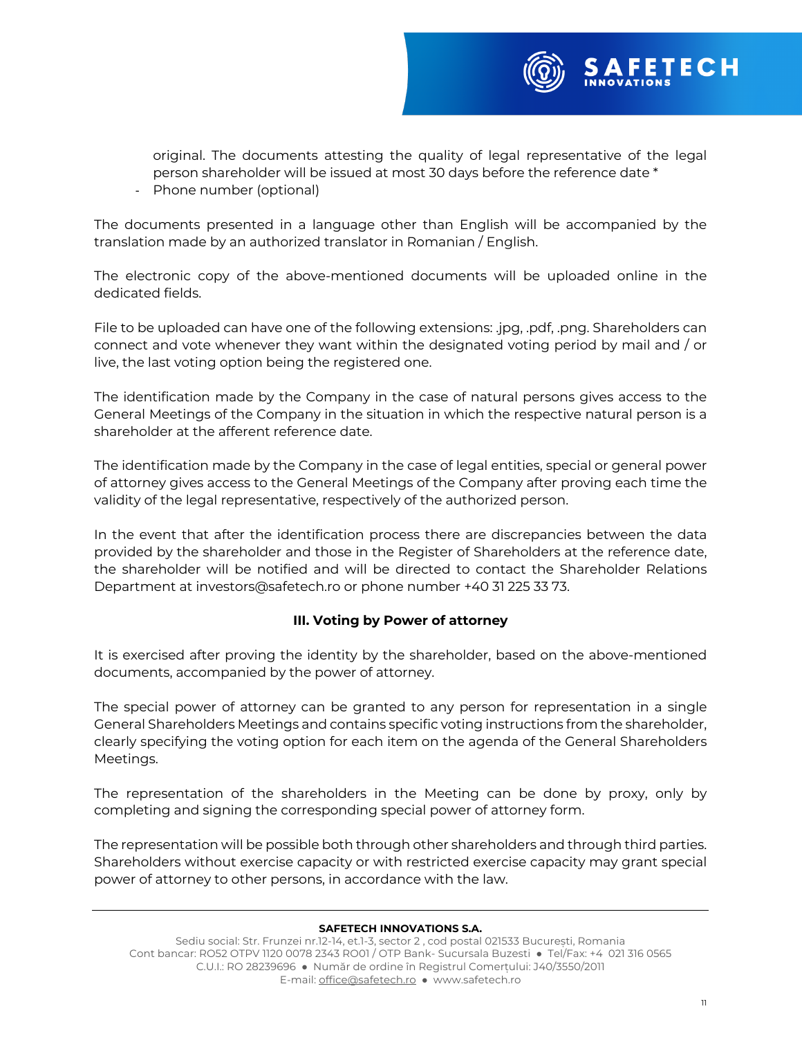

original. The documents attesting the quality of legal representative of the legal person shareholder will be issued at most 30 days before the reference date \*

- Phone number (optional)

The documents presented in a language other than English will be accompanied by the translation made by an authorized translator in Romanian / English.

The electronic copy of the above-mentioned documents will be uploaded online in the dedicated fields.

File to be uploaded can have one of the following extensions: .jpg, .pdf, .png. Shareholders can connect and vote whenever they want within the designated voting period by mail and / or live, the last voting option being the registered one.

The identification made by the Company in the case of natural persons gives access to the General Meetings of the Company in the situation in which the respective natural person is a shareholder at the afferent reference date.

The identification made by the Company in the case of legal entities, special or general power of attorney gives access to the General Meetings of the Company after proving each time the validity of the legal representative, respectively of the authorized person.

In the event that after the identification process there are discrepancies between the data provided by the shareholder and those in the Register of Shareholders at the reference date, the shareholder will be notified and will be directed to contact the Shareholder Relations Department at investors@safetech.ro or phone number +40 31 225 33 73.

## **III. Voting by Power of attorney**

It is exercised after proving the identity by the shareholder, based on the above-mentioned documents, accompanied by the power of attorney.

The special power of attorney can be granted to any person for representation in a single General Shareholders Meetings and contains specific voting instructions from the shareholder, clearly specifying the voting option for each item on the agenda of the General Shareholders Meetings.

The representation of the shareholders in the Meeting can be done by proxy, only by completing and signing the corresponding special power of attorney form.

The representation will be possible both through other shareholders and through third parties. Shareholders without exercise capacity or with restricted exercise capacity may grant special power of attorney to other persons, in accordance with the law.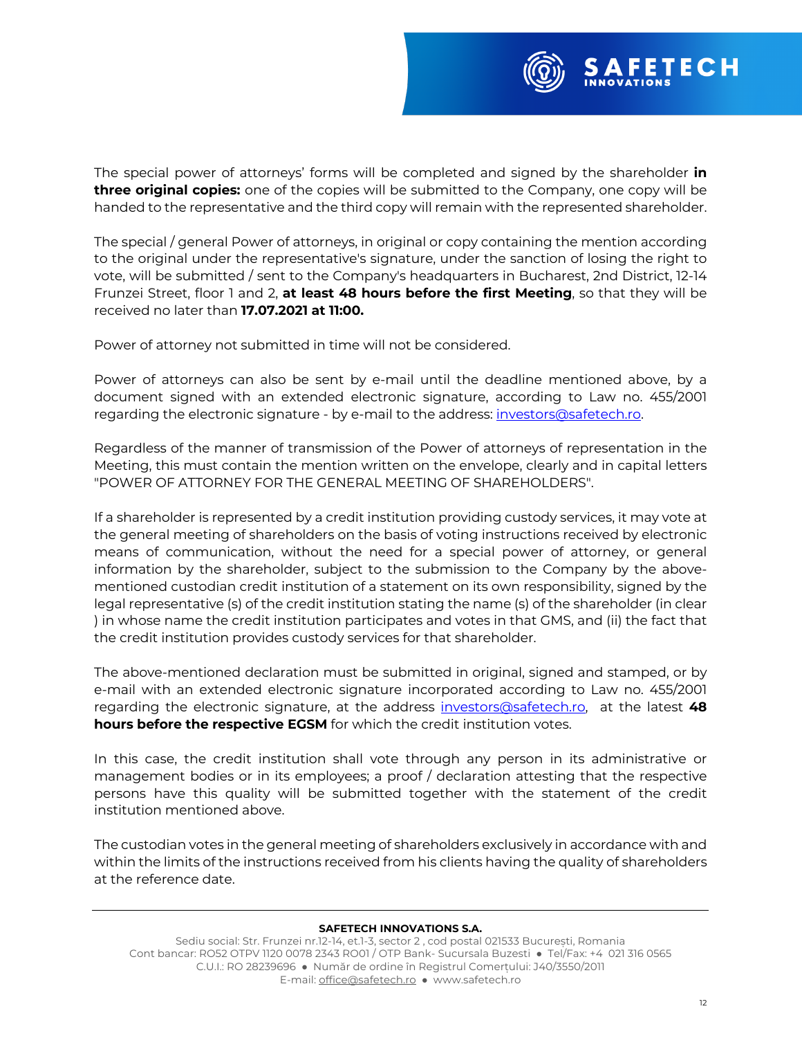

The special power of attorneys' forms will be completed and signed by the shareholder **in three original copies:** one of the copies will be submitted to the Company, one copy will be handed to the representative and the third copy will remain with the represented shareholder.

The special / general Power of attorneys, in original or copy containing the mention according to the original under the representative's signature, under the sanction of losing the right to vote, will be submitted / sent to the Company's headquarters in Bucharest, 2nd District, 12-14 Frunzei Street, floor 1 and 2, **at least 48 hours before the first Meeting**, so that they will be received no later than **17.07.2021 at 11:00.** 

Power of attorney not submitted in time will not be considered.

Power of attorneys can also be sent by e-mail until the deadline mentioned above, by a document signed with an extended electronic signature, according to Law no. 455/2001 regarding the electronic signature - by e-mail to the address: investors@safetech.ro.

Regardless of the manner of transmission of the Power of attorneys of representation in the Meeting, this must contain the mention written on the envelope, clearly and in capital letters "POWER OF ATTORNEY FOR THE GENERAL MEETING OF SHAREHOLDERS".

If a shareholder is represented by a credit institution providing custody services, it may vote at the general meeting of shareholders on the basis of voting instructions received by electronic means of communication, without the need for a special power of attorney, or general information by the shareholder, subject to the submission to the Company by the abovementioned custodian credit institution of a statement on its own responsibility, signed by the legal representative (s) of the credit institution stating the name (s) of the shareholder (in clear ) in whose name the credit institution participates and votes in that GMS, and (ii) the fact that the credit institution provides custody services for that shareholder.

The above-mentioned declaration must be submitted in original, signed and stamped, or by e-mail with an extended electronic signature incorporated according to Law no. 455/2001 regarding the electronic signature, at the address investors@safetech.ro, at the latest **48 hours before the respective EGSM** for which the credit institution votes.

In this case, the credit institution shall vote through any person in its administrative or management bodies or in its employees; a proof / declaration attesting that the respective persons have this quality will be submitted together with the statement of the credit institution mentioned above.

The custodian votes in the general meeting of shareholders exclusively in accordance with and within the limits of the instructions received from his clients having the quality of shareholders at the reference date.

## **SAFETECH INNOVATIONS S.A.**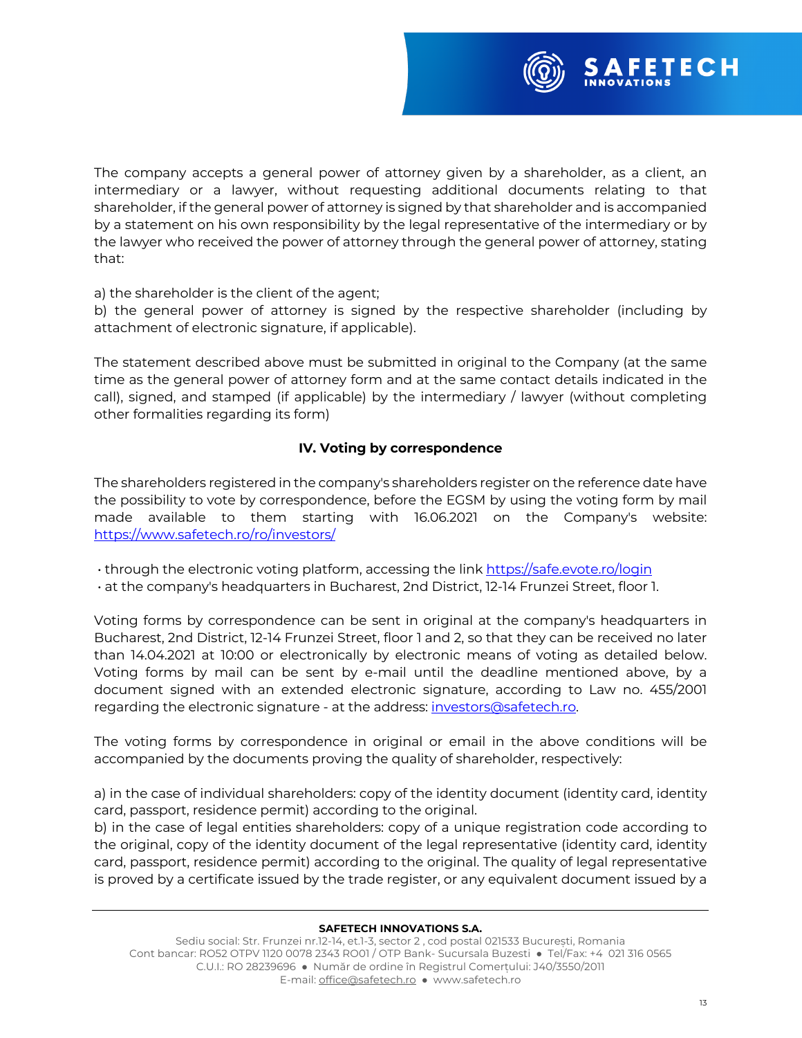

The company accepts a general power of attorney given by a shareholder, as a client, an intermediary or a lawyer, without requesting additional documents relating to that shareholder, if the general power of attorney is signed by that shareholder and is accompanied by a statement on his own responsibility by the legal representative of the intermediary or by the lawyer who received the power of attorney through the general power of attorney, stating that:

a) the shareholder is the client of the agent;

b) the general power of attorney is signed by the respective shareholder (including by attachment of electronic signature, if applicable).

The statement described above must be submitted in original to the Company (at the same time as the general power of attorney form and at the same contact details indicated in the call), signed, and stamped (if applicable) by the intermediary / lawyer (without completing other formalities regarding its form)

# **IV. Voting by correspondence**

The shareholders registered in the company's shareholders register on the reference date have the possibility to vote by correspondence, before the EGSM by using the voting form by mail made available to them starting with 16.06.2021 on the Company's website: https://www.safetech.ro/ro/investors/

• through the electronic voting platform, accessing the link https://safe.evote.ro/login

• at the company's headquarters in Bucharest, 2nd District, 12-14 Frunzei Street, floor 1.

Voting forms by correspondence can be sent in original at the company's headquarters in Bucharest, 2nd District, 12-14 Frunzei Street, floor 1 and 2, so that they can be received no later than 14.04.2021 at 10:00 or electronically by electronic means of voting as detailed below. Voting forms by mail can be sent by e-mail until the deadline mentioned above, by a document signed with an extended electronic signature, according to Law no. 455/2001 regarding the electronic signature - at the address: investors@safetech.ro.

The voting forms by correspondence in original or email in the above conditions will be accompanied by the documents proving the quality of shareholder, respectively:

a) in the case of individual shareholders: copy of the identity document (identity card, identity card, passport, residence permit) according to the original.

b) in the case of legal entities shareholders: copy of a unique registration code according to the original, copy of the identity document of the legal representative (identity card, identity card, passport, residence permit) according to the original. The quality of legal representative is proved by a certificate issued by the trade register, or any equivalent document issued by a